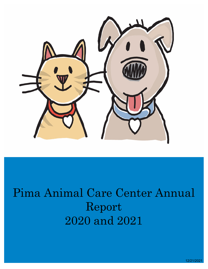

# Pima Animal Care Center Annual Report 2020 and 2021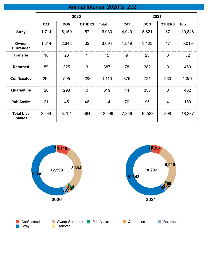# Animal Intakes 2020 & 2021

|                                     | 2020       |            |               | 2021         |            |            |                |              |
|-------------------------------------|------------|------------|---------------|--------------|------------|------------|----------------|--------------|
|                                     | <b>CAT</b> | <b>DOG</b> | <b>OTHERS</b> | <b>Total</b> | <b>CAT</b> | <b>DOG</b> | <b>OTHERS</b>  | <b>Total</b> |
| <b>Stray</b>                        | 1,714      | 5,159      | 57            | 6,930        | 4,940      | 5,821      | 87             | 10,848       |
| Owner<br><b>Surrender</b>           | 1,314      | 2,348      | 32            | 3,694        | 1,849      | 3,123      | 47             | 5,019        |
| <b>Transfer</b>                     | 18         | 26         | 1             | 45           | 9          | 23         | $\overline{0}$ | 32           |
| <b>Returned</b>                     | 59         | 325        | 3             | 387          | 78         | 382        | $\overline{0}$ | 460          |
| <b>Confiscated</b>                  | 292        | 595        | 223           | 1,110        | 376        | 721        | 260            | 1,357        |
| Quarantine                          | 26         | 293        | $\mathbf 0$   | 319          | 44         | 358        | $\overline{0}$ | 402          |
| <b>Pub Assist</b>                   | 21         | 45         | 48            | 114          | 70         | 95         | $\overline{4}$ | 169          |
| <b>Total Live</b><br><b>Intakes</b> | 3,444      | 8,791      | 364           | 12,599       | 7,366      | 10,523     | 398            | 18,287       |

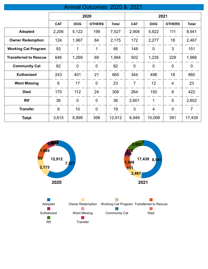### Animal Outcomes 2020 & 2021

|                              | 2020       |                |                | 2021         |                |                |                |              |
|------------------------------|------------|----------------|----------------|--------------|----------------|----------------|----------------|--------------|
|                              | <b>CAT</b> | <b>DOG</b>     | <b>OTHERS</b>  | <b>Total</b> | <b>CAT</b>     | <b>DOG</b>     | <b>OTHERS</b>  | <b>Total</b> |
| <b>Adopted</b>               | 2,206      | 5,122          | 199            | 7,527        | 2,908          | 5,922          | 111            | 8,941        |
| <b>Owner Redemption</b>      | 124        | 1,967          | 84             | 2,175        | 172            | 2,277          | 18             | 2,467        |
| <b>Working Cat Program</b>   | 93         | 1              | 1              | 95           | 148            | $\overline{0}$ | 3              | 151          |
| <b>Transferred to Rescue</b> | 646        | 1,269          | 69             | 1,984        | 502            | 1,235          | 229            | 1,966        |
| <b>Community Cat</b>         | 82         | $\mathbf 0$    | $\overline{0}$ | 82           | $\overline{0}$ | $\overline{0}$ | $\overline{0}$ | $\mathbf 0$  |
| <b>Euthanized</b>            | 243        | 401            | 21             | 665          | 344            | 498            | 18             | 860          |
| <b>Went Missing</b>          | 6          | 17             | $\overline{0}$ | 23           | $\overline{7}$ | 12             | $\overline{4}$ | 23           |
| <b>Died</b>                  | 170        | 112            | 24             | 306          | 264            | 150            | 8              | 422          |
| <b>Rtf</b>                   | 36         | $\overline{0}$ | $\overline{0}$ | 36           | 2,601          | 1              | $\overline{0}$ | 2,602        |
| <b>Transfer</b>              | 9          | 10             | $\overline{0}$ | 19           | 3              | $\overline{4}$ | $\mathbf 0$    | 7            |
| <b>Total</b>                 | 3,615      | 8,899          | 398            | 12,912       | 6,949          | 10,099         | 391            | 17,439       |

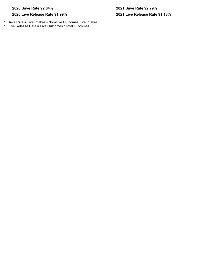#### **2020 Save Rate 92.04% 2021 Save Rate 92.79%**

#### **2020 Live Release Rate 91.99%**

\*\* Save Rate = Live Intakes - Non-Live Outcomes/Live Intakes \*\* Live Release Rate = Live Outcomes / Total Outcomes

# **2021 Live Release Rate 91.18%**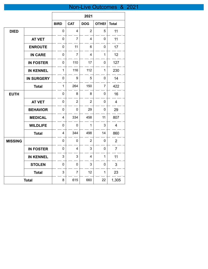# Non-Live Outcomes & 2021

 $\overline{a}$ 

|                |                                       |                         |                | 2021           |                |                |
|----------------|---------------------------------------|-------------------------|----------------|----------------|----------------|----------------|
|                |                                       | <b>BIRD</b>             | <b>CAT</b>     | <b>DOG</b>     | <b>OTHEI</b>   | <b>Total</b>   |
| <b>DIED</b>    |                                       | 0                       | $\overline{4}$ | $\overline{2}$ | 5              | 11             |
|                | <b>AT VET</b>                         | 0                       | $\overline{7}$ | 4              | 0              | 11             |
|                | <b>ENROUTE</b>                        | $\mathbf 0$             | 11             | 6              | 0              | 17             |
|                | <b>IN CARE</b>                        | $\pmb{0}$               | 7              | 4              | $\mathbf{1}$   | 12             |
|                | <b>IN FOSTER</b>                      | $\mathbf 0$             | 110            | 17             | 0              | 127            |
|                | <b>IN KENNEL</b>                      | 1                       | 116            | 112            | 1              | 230            |
|                | <b>IN SURGERY</b>                     | $\mathbf 0$             | 9              | 5              | 0              | 14             |
|                | <b>Total</b>                          | $\mathbf 1$             | 264            | 150            | $\overline{7}$ | 422            |
| <b>EUTH</b>    |                                       | 0                       | 8              | 8              | 0              | 16             |
|                | <b>AT VET</b>                         | $\mathbf 0$             | $\overline{2}$ | $\overline{2}$ | 0              | 4              |
|                | <b>BEHAVIOR</b>                       | 0                       | 0              | 29             | $\mathbf 0$    | 29             |
|                | <b>MEDICAL</b>                        | $\overline{\mathbf{4}}$ | 334            | 458            | 11             | 807            |
|                | <b>WILDLIFE</b>                       | 0                       | $\mathbf 0$    | 1              | 3              | $\overline{4}$ |
|                | <b>Total</b>                          | 4                       | 344            | 498            | 14             | 860            |
| <b>MISSING</b> |                                       | $\mathbf 0$             | 0              | $\overline{2}$ | 0              | $\overline{2}$ |
|                | <b>IN FOSTER</b>                      | 0                       | 4              | 3              | 0              | $\overline{7}$ |
|                | <b>IN KENNEL</b>                      | 3                       | 3              | $\overline{4}$ | 1              | 11             |
|                | <b>STOLEN</b>                         | 0                       | 0              | 3              | $\pmb{0}$      | 3              |
|                | <b>Total</b>                          | 3                       | $\overline{7}$ | 12             | $\mathbf{1}$   | 23             |
|                | 615<br>22<br>8<br>660<br><b>Total</b> |                         | 1,305          |                |                |                |

 $\mathbf{r}$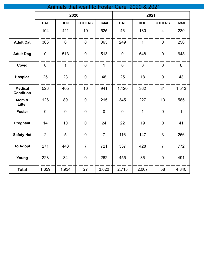|                                    |                |                  | Animals that went to Foster Care 2020 & 2021 |                |                |              |                  |                |
|------------------------------------|----------------|------------------|----------------------------------------------|----------------|----------------|--------------|------------------|----------------|
|                                    |                | 2020             |                                              |                | 2021           |              |                  |                |
|                                    | <b>CAT</b>     | <b>DOG</b>       | <b>OTHERS</b>                                | <b>Total</b>   | <b>CAT</b>     | <b>DOG</b>   | <b>OTHERS</b>    | <b>Total</b>   |
|                                    | 104            | 411              | 10                                           | 525            | 46             | 180          | $\overline{4}$   | 230            |
| <b>Adult Cat</b>                   | 363            | $\boldsymbol{0}$ | $\mathbf 0$                                  | 363            | 249            | $\mathbf{1}$ | $\boldsymbol{0}$ | 250            |
| <b>Adult Dog</b>                   | $\pmb{0}$      | 513              | $\mathbf 0$                                  | 513            | $\mathbf 0$    | 648          | $\boldsymbol{0}$ | 648            |
| Covid                              | $\mathbf 0$    | $\overline{1}$   | $\overline{0}$                               | $\overline{1}$ | $\overline{0}$ | $\mathbf 0$  | $\overline{0}$   | $\overline{0}$ |
| <b>Hospice</b>                     | 25             | 23               | $\mathbf 0$                                  | 48             | 25             | 18           | $\mathbf 0$      | 43             |
| <b>Medical</b><br><b>Condition</b> | 526            | 405              | 10                                           | 941            | 1,120          | 362          | 31               | 1,513          |
| Mom &<br><b>Litter</b>             | 126            | 89               | $\overline{0}$                               | 215            | 345            | 227          | 13               | 585            |
| <b>Poster</b>                      | $\mathbf 0$    | $\pmb{0}$        | $\mathbf 0$                                  | $\mathbf 0$    | $\pmb{0}$      | $\mathbf{1}$ | $\boldsymbol{0}$ | $\mathbf 1$    |
| Pregnant                           | 14             | 10               | $\mathbf 0$                                  | 24             | 22             | 19           | $\boldsymbol{0}$ | 41             |
| <b>Safety Net</b>                  | $\overline{2}$ | 5                | $\overline{0}$                               | $\overline{7}$ | 116            | 147          | $\mathfrak{S}$   | 266            |
| <b>To Adopt</b>                    | 271            | 443              | $\overline{7}$                               | 721            | 337            | 428          | $\overline{7}$   | 772            |
| Young                              | 228            | 34               | $\overline{0}$                               | 262            | 455            | 36           | $\pmb{0}$        | 491            |
| <b>Total</b>                       | 1,659          | 1,934            | 27                                           | 3,620          | 2,715          | 2,067        | 58               | 4,840          |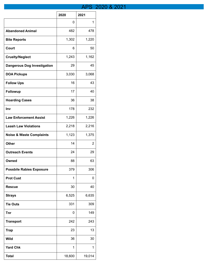# APS 2020 & 2021

|                                     | 2020   | 2021   |
|-------------------------------------|--------|--------|
|                                     | 0      | 1      |
| <b>Abandoned Animal</b>             | 482    | 478    |
| <b>Bite Reports</b>                 | 1,302  | 1,220  |
| Court                               | 6      | 50     |
| <b>Cruelty/Neglect</b>              | 1,243  | 1,162  |
| <b>Dangerous Dog Investigation</b>  | 29     | 45     |
| <b>DOA Pickups</b>                  | 3,030  | 3,068  |
| <b>Follow Ups</b>                   | 16     | 43     |
| Followup                            | 17     | 40     |
| <b>Hoarding Cases</b>               | 36     | 38     |
| Inv                                 | 178    | 232    |
| <b>Law Enforcement Assist</b>       | 1,226  | 1,226  |
| <b>Leash Law Violations</b>         | 2,218  | 2,216  |
| <b>Noise &amp; Waste Complaints</b> | 1,123  | 1,375  |
| <b>Other</b>                        | 14     | 2      |
| <b>Outreach Events</b>              | 24     | 29     |
| Owned                               | 88     | 63     |
| <b>Possbile Rabies Exposure</b>     | 379    | 306    |
| <b>Prot Cust</b>                    | 1      | 0      |
| <b>Rescue</b>                       | 30     | 40     |
| <b>Strays</b>                       | 6,525  | 6,635  |
| <b>Tie Outs</b>                     | 331    | 309    |
| <b>Tnr</b>                          | 0      | 149    |
| <b>Transport</b>                    | 242    | 243    |
| <b>Trap</b>                         | 23     | 13     |
| <b>Wild</b>                         | 36     | 30     |
| <b>Yard Chk</b>                     | 1      | 1      |
| <b>Total</b>                        | 18,600 | 19,014 |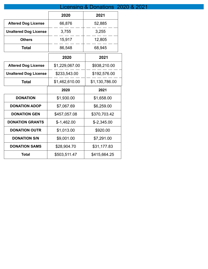|                              |                | Licensing & Donations 2020 & 2021 |  |
|------------------------------|----------------|-----------------------------------|--|
|                              | 2020           | 2021                              |  |
| <b>Altered Dog License</b>   | 66,876         | 52,885                            |  |
| <b>Unaltered Dog License</b> | 3,755          | 3,255                             |  |
| <b>Others</b>                | 15,917         | 12,805                            |  |
| <b>Total</b>                 | 86,548         | 68,945                            |  |
|                              | 2020           | 2021                              |  |
| <b>Altered Dog License</b>   | \$1,229,067.00 | \$938,210.00                      |  |
| <b>Unaltered Dog License</b> | \$233,543.00   | \$192,576.00                      |  |
| <b>Total</b>                 | \$1,462,610.00 | \$1,130,786.00                    |  |
|                              | 2020           | 2021                              |  |
| <b>DONATION</b>              | \$1,930.00     | \$1,658.00                        |  |
| <b>DONATION ADOP</b>         | \$7,067.69     | \$6,259.00                        |  |
| <b>DONATION GEN</b>          | \$457,057.08   | \$370,703.42                      |  |
| <b>DONATION GRANTS</b>       | $$-1,462.00$   | $$-2,345.00$                      |  |
| <b>DONATION OUTR</b>         | \$1,013.00     | \$920.00                          |  |
| <b>DONATION S/N</b>          | \$9,001.00     | \$7,291.00                        |  |
| <b>DONATION SAMS</b>         | \$28,904.70    | \$31,177.83                       |  |
| <b>Total</b>                 | \$503,511.47   | \$415,664.25                      |  |